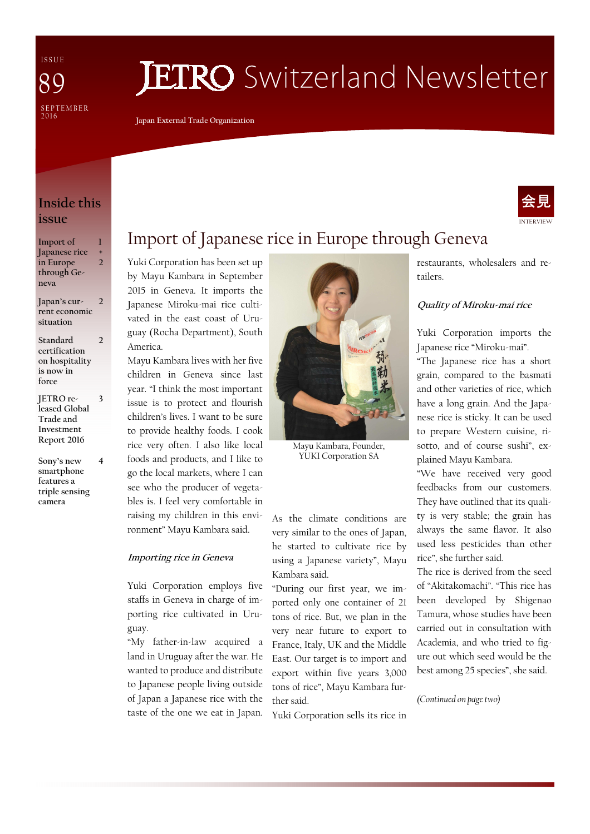I S S U E SE P T E M B E R<br>2016 89

# **ETRO** Switzerland Newsletter

**Japan External Trade Organization** 

### **Inside this issue**

| Import of     | П             |
|---------------|---------------|
| Japanese rice | +             |
| in Europe     | 2             |
| through Ge-   |               |
| neva          |               |
|               |               |
| Japan's cur-  | $\mathcal{D}$ |
| rent economic |               |

**situation Standard certification on hospitality 2** 

**is now in force** 

- **JETRO released Global Trade and Investment Report 2016 3**
- **Sony's new smartphone features a triple sensing camera 4**

# Import of Japanese rice in Europe through Geneva

Yuki Corporation has been set up by Mayu Kambara in September 2015 in Geneva. It imports the Japanese Miroku-mai rice cultivated in the east coast of Uruguay (Rocha Department), South America.

Mayu Kambara lives with her five children in Geneva since last year. "I think the most important issue is to protect and flourish children's lives. I want to be sure to provide healthy foods. I cook rice very often. I also like local foods and products, and I like to go the local markets, where I can see who the producer of vegetables is. I feel very comfortable in raising my children in this environment" Mayu Kambara said.

#### **Importing rice in Geneva**

Yuki Corporation employs five staffs in Geneva in charge of importing rice cultivated in Uruguay.

"My father-in-law acquired a land in Uruguay after the war. He wanted to produce and distribute to Japanese people living outside of Japan a Japanese rice with the taste of the one we eat in Japan.



Mayu Kambara, Founder, YUKI Corporation SA

As the climate conditions are very similar to the ones of Japan, he started to cultivate rice by using a Japanese variety", Mayu Kambara said.

"During our first year, we imported only one container of 21 tons of rice. But, we plan in the very near future to export to France, Italy, UK and the Middle East. Our target is to import and export within five years 3,000 tons of rice", Mayu Kambara further said.

Yuki Corporation sells its rice in

restaurants, wholesalers and retailers.

#### **Quality of Miroku-mai rice**

Yuki Corporation imports the Japanese rice "Miroku-mai".

"The Japanese rice has a short grain, compared to the basmati and other varieties of rice, which have a long grain. And the Japanese rice is sticky. It can be used to prepare Western cuisine, risotto, and of course sushi", explained Mayu Kambara.

"We have received very good feedbacks from our customers. They have outlined that its quality is very stable; the grain has always the same flavor. It also used less pesticides than other rice", she further said.

The rice is derived from the seed of "Akitakomachi". "This rice has been developed by Shigenao Tamura, whose studies have been carried out in consultation with Academia, and who tried to figure out which seed would be the best among 25 species", she said.

*(Continued on page two)* 

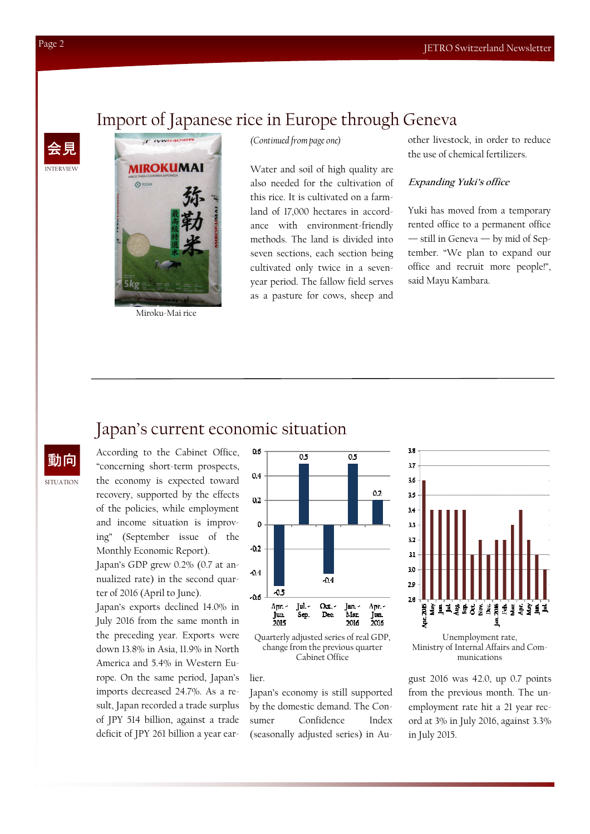## Import of Japanese rice in Europe through Geneva

**MIROKUMAI**  $\bigcirc$  TOZ

T IVWDAOSIN

Miroku-Mai rice

*(Continued from page one)* 

Water and soil of high quality are also needed for the cultivation of this rice. It is cultivated on a farmland of 17,000 hectares in accordance with environment-friendly methods. The land is divided into seven sections, each section being cultivated only twice in a sevenyear period. The fallow field serves as a pasture for cows, sheep and other livestock, in order to reduce the use of chemical fertilizers.

#### **Expanding Yuki's office**

Yuki has moved from a temporary rented office to a permanent office — still in Geneva — by mid of September. "We plan to expand our office and recruit more people!", said Mayu Kambara.

### Japan's current economic situation

**SITUATION** 動向

According to the Cabinet Office, "concerning short-term prospects, the economy is expected toward recovery, supported by the effects of the policies, while employment and income situation is improving" (September issue of the Monthly Economic Report).

Japan's GDP grew 0.2% (0.7 at annualized rate) in the second quarter of 2016 (April to June).

Japan's exports declined 14.0% in July 2016 from the same month in the preceding year. Exports were down 13.8% in Asia, 11.9% in North America and 5.4% in Western Europe. On the same period, Japan's imports decreased 24.7%. As a result, Japan recorded a trade surplus of JPY 514 billion, against a trade deficit of JPY 261 billion a year ear-



Quarterly adjusted series of real GDP, change from the previous quarter Cabinet Office

#### lier.

Japan's economy is still supported by the domestic demand. The Consumer Confidence Index (seasonally adjusted series) in Au-



Unemployment rate, Ministry of Internal Affairs and Communications

gust 2016 was 42.0, up 0.7 points from the previous month. The unemployment rate hit a 21 year record at 3% in July 2016, against 3.3% in July 2015.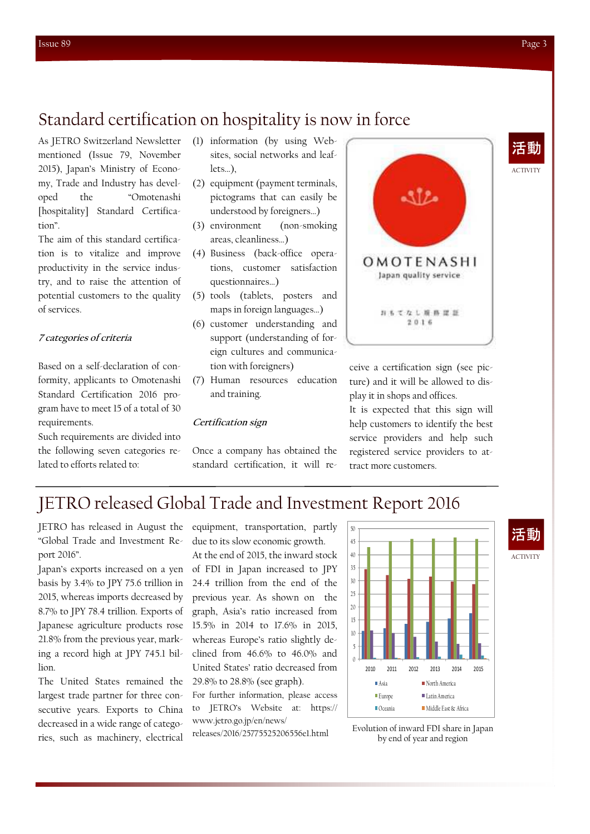### Standard certification on hospitality is now in force

As JETRO Switzerland Newsletter mentioned (Issue 79, November 2015), Japan's Ministry of Economy, Trade and Industry has developed the "Omotenashi [hospitality] Standard Certification".

The aim of this standard certification is to vitalize and improve productivity in the service industry, and to raise the attention of potential customers to the quality of services.

#### **7 categories of criteria**

Based on a self-declaration of conformity, applicants to Omotenashi Standard Certification 2016 program have to meet 15 of a total of 30 requirements.

Such requirements are divided into the following seven categories related to efforts related to:

- (1) information (by using Websites, social networks and leaflets…),
- (2) equipment (payment terminals, pictograms that can easily be understood by foreigners…)
- (3) environment (non-smoking areas, cleanliness…)
- (4) Business (back-office operations, customer satisfaction questionnaires…)
- (5) tools (tablets, posters and maps in foreign languages…)
- (6) customer understanding and support (understanding of foreign cultures and communication with foreigners)
- (7) Human resources education and training.

#### **Certification sign**

Once a company has obtained the standard certification, it will re-



ceive a certification sign (see picture) and it will be allowed to display it in shops and offices.

It is expected that this sign will help customers to identify the best service providers and help such registered service providers to attract more customers.

### JETRO released Global Trade and Investment Report 2016

JETRO has released in August the "Global Trade and Investment Report 2016".

Japan's exports increased on a yen basis by 3.4% to JPY 75.6 trillion in 2015, whereas imports decreased by 8.7% to JPY 78.4 trillion. Exports of Japanese agriculture products rose 21.8% from the previous year, marking a record high at JPY 745.1 billion.

The United States remained the largest trade partner for three consecutive years. Exports to China decreased in a wide range of categories, such as machinery, electrical

equipment, transportation, partly due to its slow economic growth.

At the end of 2015, the inward stock of FDI in Japan increased to JPY 24.4 trillion from the end of the previous year. As shown on the graph, Asia's ratio increased from 15.5% in 2014 to 17.6% in 2015, whereas Europe's ratio slightly declined from 46.6% to 46.0% and United States' ratio decreased from 29.8% to 28.8% (see graph).

For further information, please access to JETRO's Website at: https://

www.jetro.go.jp/en/news/ releases/2016/25775525206556e1.html



Evolution of inward FDI share in Japan by end of year and region

ACTIVITY

ACTIVITY

活動

活動